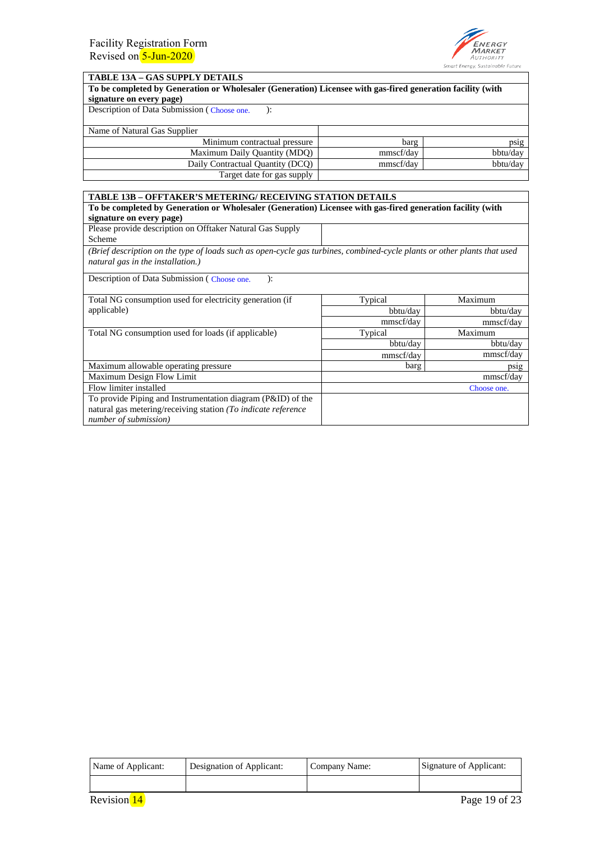

## **TABLE 13A – GAS SUPPLY DETAILS**

| To be completed by Generation or Wholesaler (Generation) Licensee with gas-fired generation facility (with |  |  |  |  |
|------------------------------------------------------------------------------------------------------------|--|--|--|--|
| signature on every page)                                                                                   |  |  |  |  |
|                                                                                                            |  |  |  |  |

Description of Data Submission (Choose one. ):

| Name of Natural Gas Supplier     |           |          |
|----------------------------------|-----------|----------|
| Minimum contractual pressure     | barg      | psig     |
| Maximum Daily Quantity (MDQ)     | mmscf/dav | bbtu/day |
| Daily Contractual Quantity (DCQ) | mmscf/dav | bbtu/day |
| Target date for gas supply       |           |          |

| <b>TABLE 13B – OFFTAKER'S METERING/ RECEIVING STATION DETAILS</b>                                          |                                                                                                                          |           |  |  |  |
|------------------------------------------------------------------------------------------------------------|--------------------------------------------------------------------------------------------------------------------------|-----------|--|--|--|
| To be completed by Generation or Wholesaler (Generation) Licensee with gas-fired generation facility (with |                                                                                                                          |           |  |  |  |
| signature on every page)                                                                                   |                                                                                                                          |           |  |  |  |
| Please provide description on Offtaker Natural Gas Supply                                                  |                                                                                                                          |           |  |  |  |
| Scheme                                                                                                     |                                                                                                                          |           |  |  |  |
| natural gas in the installation.)                                                                          | (Brief description on the type of loads such as open-cycle gas turbines, combined-cycle plants or other plants that used |           |  |  |  |
| Description of Data Submission (Choose one.<br>$\mathbf{E}$                                                |                                                                                                                          |           |  |  |  |
| Total NG consumption used for electricity generation (if                                                   | Typical                                                                                                                  | Maximum   |  |  |  |
| applicable)                                                                                                | bbtu/day                                                                                                                 | bbtu/day  |  |  |  |
|                                                                                                            | mmscf/day                                                                                                                | mmscf/day |  |  |  |
| Total NG consumption used for loads (if applicable)                                                        | Typical                                                                                                                  | Maximum   |  |  |  |
|                                                                                                            | bbtu/day                                                                                                                 | bbtu/day  |  |  |  |
|                                                                                                            | mmscf/day                                                                                                                | mmscf/day |  |  |  |
| Maximum allowable operating pressure                                                                       | barg                                                                                                                     | DS12      |  |  |  |
| Maximum Design Flow Limit                                                                                  |                                                                                                                          | mmscf/day |  |  |  |
| Flow limiter installed                                                                                     | Choose one.                                                                                                              |           |  |  |  |
| To provide Piping and Instrumentation diagram (P&ID) of the                                                |                                                                                                                          |           |  |  |  |
| natural gas metering/receiving station (To indicate reference                                              |                                                                                                                          |           |  |  |  |
| number of submission)                                                                                      |                                                                                                                          |           |  |  |  |

| Name of Applicant: | Designation of Applicant: | Company Name: | Signature of Applicant: |
|--------------------|---------------------------|---------------|-------------------------|
|                    |                           |               |                         |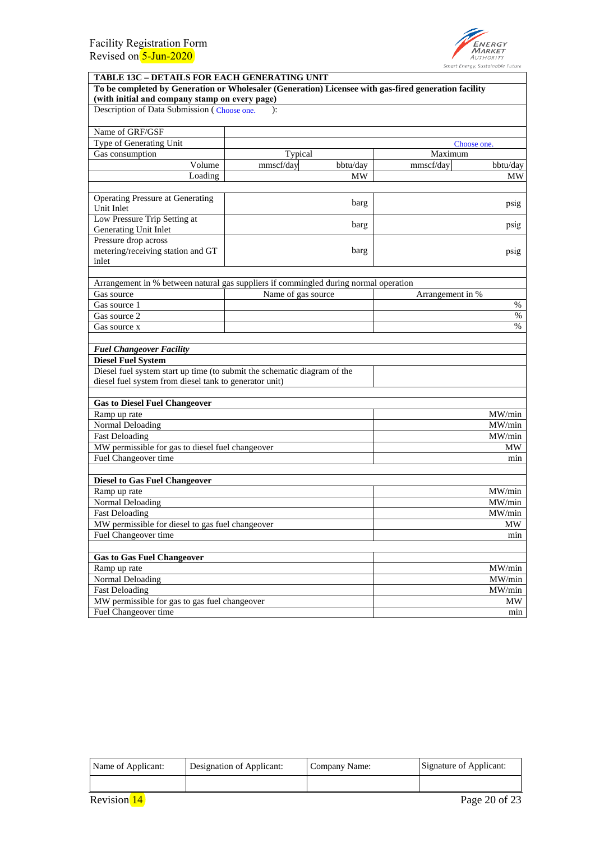

## **TABLE 13C – DETAILS FOR EACH GENERATING UNIT To be completed by Generation or Wholesaler (Generation) Licensee with gas-fired generation facility (with initial and company stamp on every page)**  Description of Data Submission (Choose one. ): Name of GRF/GSF Type of Generating Unit Gas consumption and the consumption of the consumption of the Typical Consumption of Maximum Volume mmscf/day bbtu/day Loading MW Operating Pressure at Generating<br>Unit Inlet barg Low Pressure Trip Setting at Generating Unit Inlet Pressure drop across metering/receiving station and GT inlet Arrangement in % between natural gas suppliers if commingled during normal operation Gas source Name of gas source Arrangement in % Gas source  $1 \qquad \qquad$  8 Gas source 2 Gas source x *Fuel Changeover Facility* **Diesel Fuel System** Diesel fuel system start up time (to submit the schematic diagram of the diesel fuel system from diesel tank to generator unit) **Gas to Diesel Fuel Changeover** Ramp up rate MW/min<br>Normal Deloading MW/min<br>Normal Deloading MW/min Normal Deloading Fast Deloading MW/min and the contract of the contract of the contract of the contract of the contract of the contract of the contract of the contract of the contract of the contract of the contract of the contract of the MW permissible for gas to diesel fuel changeover and the set of the set of the MW Fuel Changeover time min **Diesel to Gas Fuel Changeover** Ramp up rate Normal Deloading Fast Deloading MW permissible for diesel to gas fuel changeover Fuel Changeover time **Gas to Gas Fuel Changeover** Ramp up rate Normal Deloading Fast Deloading MW permissible for gas to gas fuel changeover Fuel Changeover time barg barg mmscf/day bbtu/day MW psig psig psig % % MW/min MW/min MW/min MW min MW/min MW/min MW/min MW min Choose one.

| Name of Applicant: | Designation of Applicant: | Company Name: | Signature of Applicant: |
|--------------------|---------------------------|---------------|-------------------------|
|                    |                           |               |                         |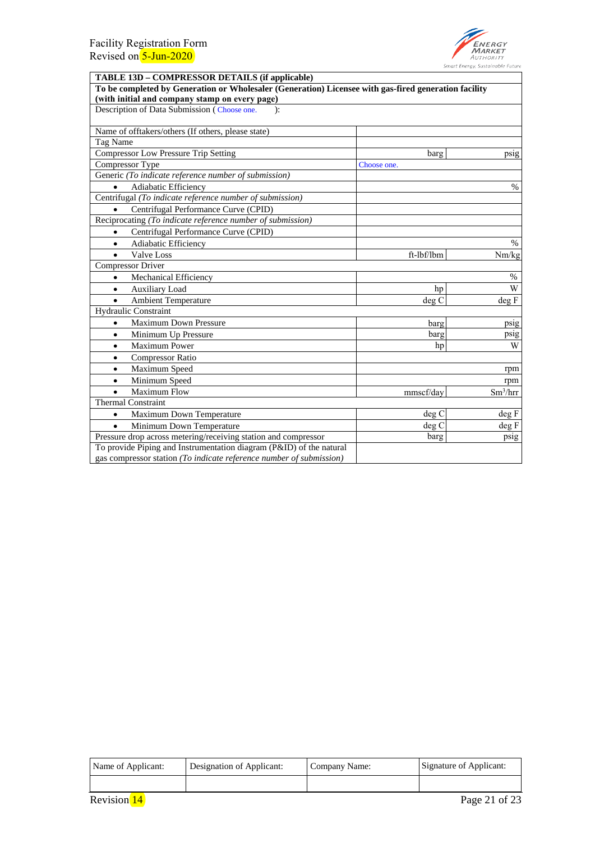

| <b>TABLE 13D – COMPRESSOR DETAILS (if applicable)</b>                                                |             |            |  |  |
|------------------------------------------------------------------------------------------------------|-------------|------------|--|--|
| To be completed by Generation or Wholesaler (Generation) Licensee with gas-fired generation facility |             |            |  |  |
| (with initial and company stamp on every page)                                                       |             |            |  |  |
| Description of Data Submission (Choose one.<br>$\mathcal{E}$                                         |             |            |  |  |
| Name of offtakers/others (If others, please state)                                                   |             |            |  |  |
| Tag Name                                                                                             |             |            |  |  |
| <b>Compressor Low Pressure Trip Setting</b>                                                          | barg        | psig       |  |  |
| Compressor Type                                                                                      | Choose one. |            |  |  |
| Generic (To indicate reference number of submission)                                                 |             |            |  |  |
| Adiabatic Efficiency                                                                                 |             | $\%$       |  |  |
| Centrifugal (To indicate reference number of submission)                                             |             |            |  |  |
| Centrifugal Performance Curve (CPID)                                                                 |             |            |  |  |
| Reciprocating (To indicate reference number of submission)                                           |             |            |  |  |
| Centrifugal Performance Curve (CPID)<br>$\bullet$                                                    |             |            |  |  |
| Adiabatic Efficiency<br>$\bullet$                                                                    |             | $\%$       |  |  |
| <b>Valve Loss</b><br>$\bullet$                                                                       | ft-lbf/lbm  | Nm/kg      |  |  |
| <b>Compressor Driver</b>                                                                             |             |            |  |  |
| Mechanical Efficiency<br>$\bullet$                                                                   |             | $\%$       |  |  |
| <b>Auxiliary Load</b><br>$\bullet$                                                                   | hp          | W          |  |  |
| <b>Ambient Temperature</b><br>$\bullet$                                                              | deg C       | deg F      |  |  |
| <b>Hydraulic Constraint</b>                                                                          |             |            |  |  |
| <b>Maximum Down Pressure</b><br>$\bullet$                                                            | barg        | psig       |  |  |
| Minimum Up Pressure<br>$\bullet$                                                                     | barg        | psig       |  |  |
| <b>Maximum Power</b><br>$\bullet$                                                                    | hp          | W          |  |  |
| <b>Compressor Ratio</b><br>$\bullet$                                                                 |             |            |  |  |
| Maximum Speed<br>$\bullet$                                                                           |             | rpm        |  |  |
| Minimum Speed<br>$\bullet$                                                                           |             | rpm        |  |  |
| <b>Maximum Flow</b><br>$\bullet$                                                                     | mmscf/day   | $Sm^3/hrr$ |  |  |
| <b>Thermal Constraint</b>                                                                            |             |            |  |  |
| Maximum Down Temperature<br>$\bullet$                                                                | deg C       | deg F      |  |  |
| Minimum Down Temperature<br>$\bullet$                                                                | deg C       | deg F      |  |  |
| Pressure drop across metering/receiving station and compressor                                       | barg        | psig       |  |  |
| To provide Piping and Instrumentation diagram (P&ID) of the natural                                  |             |            |  |  |
| gas compressor station (To indicate reference number of submission)                                  |             |            |  |  |

| Name of Applicant: | Designation of Applicant: | Company Name: | Signature of Applicant: |
|--------------------|---------------------------|---------------|-------------------------|
|                    |                           |               |                         |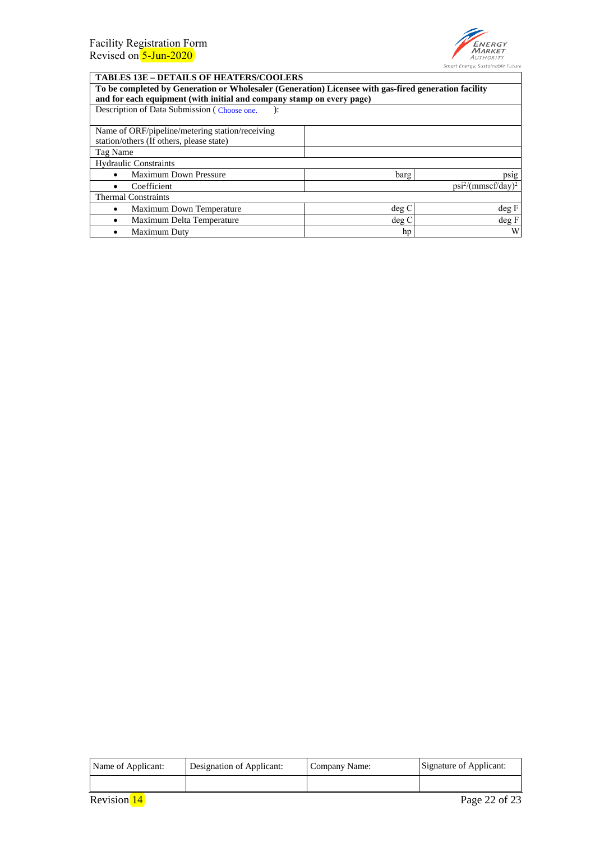

٦

## **TABLES 13E – DETAILS OF HEATERS/COOLERS**

| пирово кој препиро от претрадо со обрано                                                                                                                                      |       |       |  |  |
|-------------------------------------------------------------------------------------------------------------------------------------------------------------------------------|-------|-------|--|--|
| To be completed by Generation or Wholesaler (Generation) Licensee with gas-fired generation facility<br>and for each equipment (with initial and company stamp on every page) |       |       |  |  |
| Description of Data Submission (Choose one.                                                                                                                                   |       |       |  |  |
| Name of ORF/pipeline/metering station/receiving                                                                                                                               |       |       |  |  |
| station/others (If others, please state)                                                                                                                                      |       |       |  |  |
| Tag Name                                                                                                                                                                      |       |       |  |  |
| <b>Hydraulic Constraints</b>                                                                                                                                                  |       |       |  |  |
| <b>Maximum Down Pressure</b>                                                                                                                                                  | barg  | psig  |  |  |
| $psi^2/(mmscf/day)^2$<br>Coefficient                                                                                                                                          |       |       |  |  |
| <b>Thermal Constraints</b>                                                                                                                                                    |       |       |  |  |
| Maximum Down Temperature                                                                                                                                                      | deg C | deg F |  |  |
| Maximum Delta Temperature                                                                                                                                                     | deg C | deg F |  |  |
| Maximum Duty                                                                                                                                                                  | hp    | W     |  |  |

| Name of Applicant: | Designation of Applicant: | Company Name: | Signature of Applicant: |
|--------------------|---------------------------|---------------|-------------------------|
|                    |                           |               |                         |